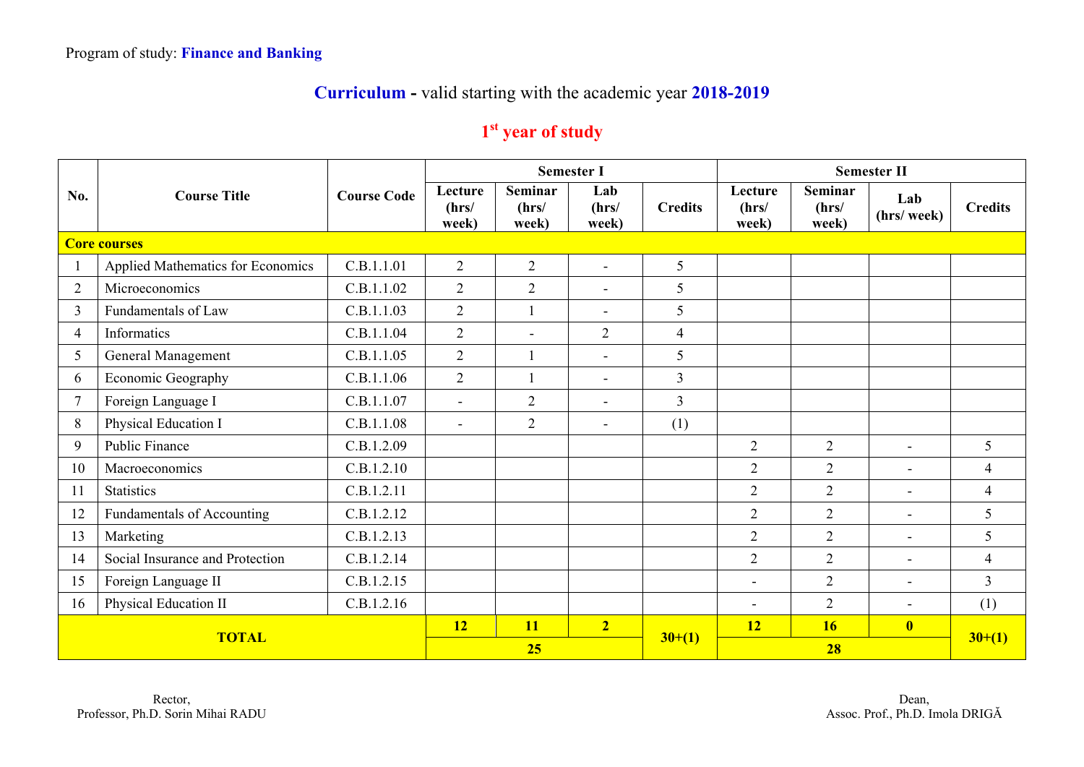## **Curriculum -** valid starting with the academic year **2018-2019**

## **1st year of study**

|                | <b>Course Title</b>                      |                    |                           |                                  | <b>Semester I</b>        |                | <b>Semester II</b>        |                           |                         |                |  |
|----------------|------------------------------------------|--------------------|---------------------------|----------------------------------|--------------------------|----------------|---------------------------|---------------------------|-------------------------|----------------|--|
| No.            |                                          | <b>Course Code</b> | Lecture<br>(hrs/<br>week) | <b>Seminar</b><br>(hrs/<br>week) | Lab<br>(hrs/<br>week)    | <b>Credits</b> | Lecture<br>(hrs/<br>week) | Seminar<br>(hrs/<br>week) | Lab<br>(hrs/ week)      | <b>Credits</b> |  |
|                | <b>Core courses</b>                      |                    |                           |                                  |                          |                |                           |                           |                         |                |  |
|                | <b>Applied Mathematics for Economics</b> | C.B.1.1.01         | $\overline{2}$            | $\overline{2}$                   | $\blacksquare$           | 5              |                           |                           |                         |                |  |
| $\overline{2}$ | Microeconomics                           | C.B.1.1.02         | $\overline{2}$            | $\overline{2}$                   | $\overline{\phantom{a}}$ | 5              |                           |                           |                         |                |  |
| 3              | Fundamentals of Law                      | C.B.1.1.03         | $\overline{2}$            |                                  | $\sim$                   | 5              |                           |                           |                         |                |  |
| $\overline{4}$ | Informatics                              | C.B.1.1.04         | $\overline{2}$            | $\sim$                           | $\overline{2}$           | $\overline{4}$ |                           |                           |                         |                |  |
| 5              | General Management                       | C.B.1.1.05         | $\overline{2}$            |                                  | $\overline{\phantom{a}}$ | 5              |                           |                           |                         |                |  |
| 6              | Economic Geography                       | C.B.1.1.06         | $\overline{2}$            |                                  | $\blacksquare$           | $\overline{3}$ |                           |                           |                         |                |  |
| $\overline{7}$ | Foreign Language I                       | C.B.1.1.07         | $\blacksquare$            | $\overline{2}$                   | $\blacksquare$           | $\overline{3}$ |                           |                           |                         |                |  |
| 8              | Physical Education I                     | C.B.1.1.08         | $\overline{a}$            | $\overline{2}$                   | $\equiv$                 | (1)            |                           |                           |                         |                |  |
| 9              | Public Finance                           | C.B.1.2.09         |                           |                                  |                          |                | $\overline{2}$            | $\overline{2}$            | $\overline{a}$          | 5              |  |
| 10             | Macroeconomics                           | C.B.1.2.10         |                           |                                  |                          |                | $\overline{2}$            | $\overline{2}$            | $\blacksquare$          | $\overline{4}$ |  |
| 11             | <b>Statistics</b>                        | C.B.1.2.11         |                           |                                  |                          |                | $\overline{2}$            | $\overline{2}$            | $\overline{a}$          | $\overline{4}$ |  |
| 12             | Fundamentals of Accounting               | C.B.1.2.12         |                           |                                  |                          |                | $\overline{2}$            | $\overline{2}$            | $\blacksquare$          | 5              |  |
| 13             | Marketing                                | C.B.1.2.13         |                           |                                  |                          |                | $\overline{2}$            | $\overline{2}$            | $\blacksquare$          | 5              |  |
| 14             | Social Insurance and Protection          | C.B.1.2.14         |                           |                                  |                          |                | $\overline{2}$            | $\overline{2}$            | $\blacksquare$          | $\overline{4}$ |  |
| 15             | Foreign Language II                      | C.B.1.2.15         |                           |                                  |                          |                | $\overline{\phantom{0}}$  | $\overline{2}$            | $\blacksquare$          | $\overline{3}$ |  |
| 16             | Physical Education II                    | C.B.1.2.16         |                           |                                  |                          |                | $\overline{\phantom{a}}$  | $\overline{2}$            | $\blacksquare$          | (1)            |  |
| <b>TOTAL</b>   |                                          |                    | 12                        | <b>11</b>                        | 2 <sub>1</sub>           |                | 12                        | 16                        | $\overline{\mathbf{0}}$ |                |  |
|                |                                          |                    | 25                        |                                  |                          | $30+(1)$       |                           | $30+(1)$                  |                         |                |  |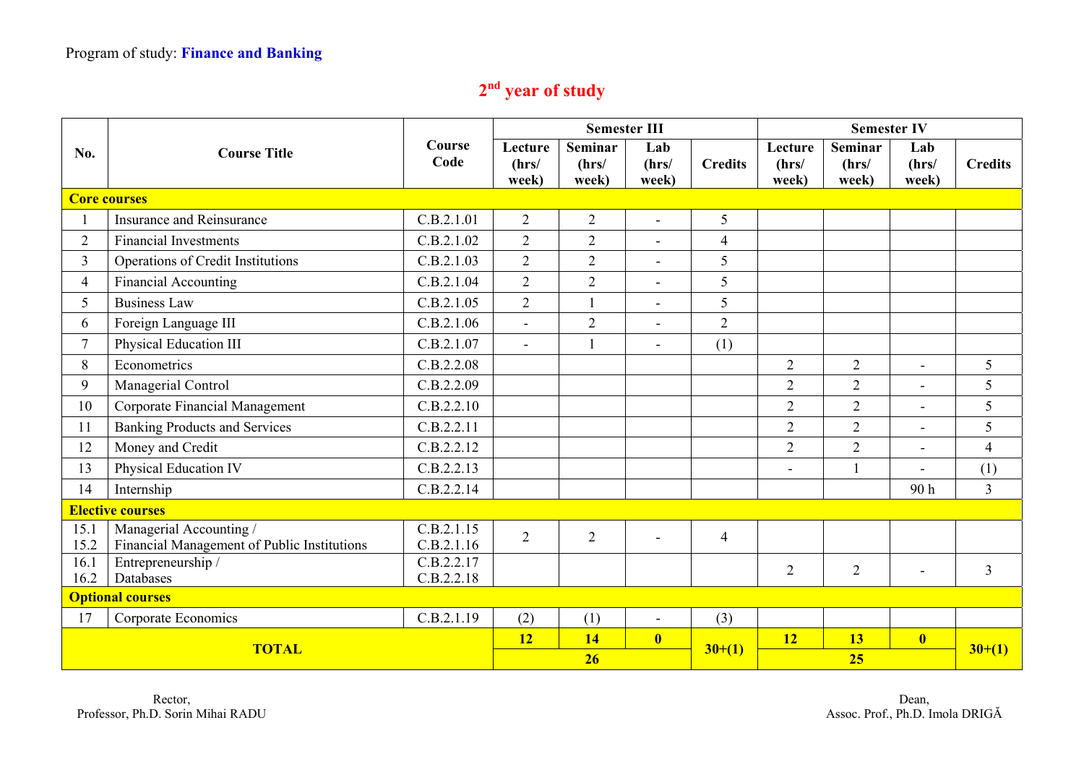## **2nd year of study**

|                         |                                                                        | Course<br>Code           |                           | <b>Semester III</b>       |                          |                | <b>Semester IV</b>        |                                  |                          |                |
|-------------------------|------------------------------------------------------------------------|--------------------------|---------------------------|---------------------------|--------------------------|----------------|---------------------------|----------------------------------|--------------------------|----------------|
| No.                     | <b>Course Title</b>                                                    |                          | Lecture<br>(hrs/<br>week) | Seminar<br>(hrs/<br>week) | Lab<br>(hrs/<br>week)    | <b>Credits</b> | Lecture<br>(hrs/<br>week) | <b>Seminar</b><br>(hrs/<br>week) | Lab<br>(hrs/<br>week)    | <b>Credits</b> |
|                         | <b>Core courses</b>                                                    |                          |                           |                           |                          |                |                           |                                  |                          |                |
|                         | Insurance and Reinsurance                                              | C.B.2.1.01               | $\overline{2}$            | $\overline{2}$            | $\blacksquare$           | 5              |                           |                                  |                          |                |
| $\overline{2}$          | <b>Financial Investments</b>                                           | C.B.2.1.02               | $\overline{2}$            | $\overline{2}$            | $\overline{a}$           | $\overline{4}$ |                           |                                  |                          |                |
| $\overline{3}$          | Operations of Credit Institutions                                      | C.B.2.1.03               | $\overline{2}$            | $\overline{2}$            | $\blacksquare$           | 5              |                           |                                  |                          |                |
| $\overline{4}$          | Financial Accounting                                                   | C.B.2.1.04               | $\overline{2}$            | $\overline{2}$            | $\blacksquare$           | 5              |                           |                                  |                          |                |
| 5                       | <b>Business Law</b>                                                    | C.B.2.1.05               | $\overline{2}$            |                           | $\overline{a}$           | 5              |                           |                                  |                          |                |
| 6                       | Foreign Language III                                                   | C.B.2.1.06               | $\overline{\phantom{a}}$  | $\overline{2}$            | $\overline{a}$           | $\overline{2}$ |                           |                                  |                          |                |
| $\overline{7}$          | Physical Education III                                                 | C.B.2.1.07               | $\overline{\phantom{a}}$  |                           | $\blacksquare$           | (1)            |                           |                                  |                          |                |
| 8                       | Econometrics                                                           | C.B.2.2.08               |                           |                           |                          |                | $\overline{2}$            | $\overline{2}$                   | $\mathbf{r}$             | 5              |
| 9                       | Managerial Control                                                     | C.B.2.2.09               |                           |                           |                          |                | $\overline{2}$            | $\overline{2}$                   | $\overline{\phantom{0}}$ | 5              |
| 10                      | Corporate Financial Management                                         | C.B.2.2.10               |                           |                           |                          |                | $\overline{2}$            | $\overline{2}$                   | ÷                        | 5              |
| 11                      | <b>Banking Products and Services</b>                                   | C.B.2.2.11               |                           |                           |                          |                | $\overline{2}$            | $\overline{2}$                   | $\blacksquare$           | 5              |
| 12                      | Money and Credit                                                       | C.B.2.2.12               |                           |                           |                          |                | $\overline{2}$            | $\overline{2}$                   |                          | $\overline{4}$ |
| 13                      | Physical Education IV                                                  | C.B.2.2.13               |                           |                           |                          |                | $\overline{\phantom{a}}$  | $\mathbf{1}$                     |                          | (1)            |
| 14                      | Internship                                                             | C.B.2.2.14               |                           |                           |                          |                |                           |                                  | 90h                      | $\overline{3}$ |
| <b>Elective courses</b> |                                                                        |                          |                           |                           |                          |                |                           |                                  |                          |                |
| 15.1<br>15.2            | Managerial Accounting /<br>Financial Management of Public Institutions | C.B.2.1.15<br>C.B.2.1.16 | $\overline{2}$            | $\overline{2}$            | $\blacksquare$           | $\overline{4}$ |                           |                                  |                          |                |
| 16.1                    | Entrepreneurship /                                                     | C.B.2.2.17               |                           |                           |                          |                | $\overline{2}$            | $\overline{2}$                   | $\overline{a}$           | $\overline{3}$ |
| 16.2                    | Databases                                                              | C.B.2.2.18               |                           |                           |                          |                |                           |                                  |                          |                |
| <b>Optional courses</b> |                                                                        |                          |                           |                           |                          |                |                           |                                  |                          |                |
| 17                      | Corporate Economics                                                    | C.B.2.1.19               | (2)                       | (1)                       | $\overline{\phantom{a}}$ | (3)            |                           |                                  |                          |                |
| <b>TOTAL</b>            |                                                                        |                          | <b>12</b>                 | 14                        | $\overline{\mathbf{0}}$  | $30+(1)$       | <b>12</b>                 | 13                               | $\overline{\mathbf{0}}$  | $30+(1)$       |
|                         |                                                                        |                          | 26                        |                           |                          |                | 25                        |                                  |                          |                |